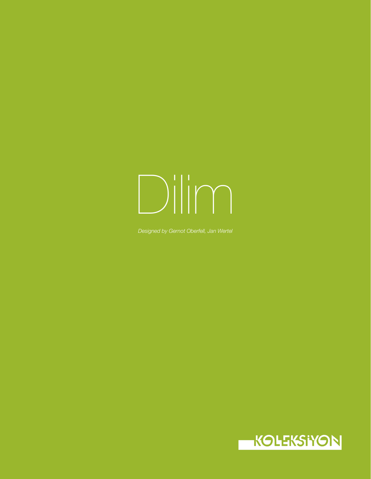# Dilim

*Designed by Gernot Oberfell, Jan Wertel*

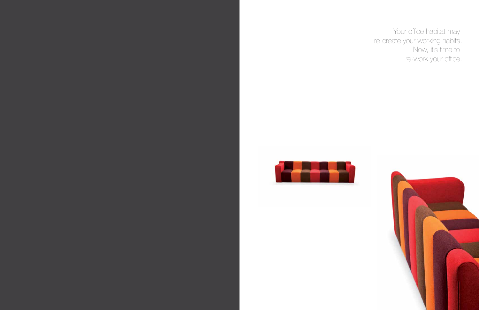

Your office habitat may re-create your working habits. Now, it's time to re-work your office.



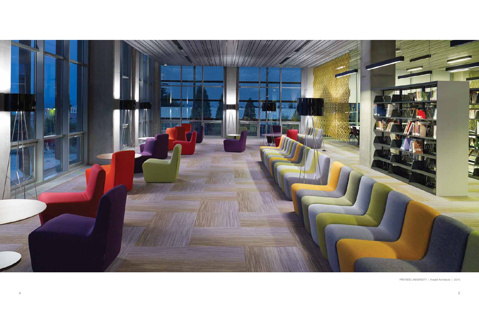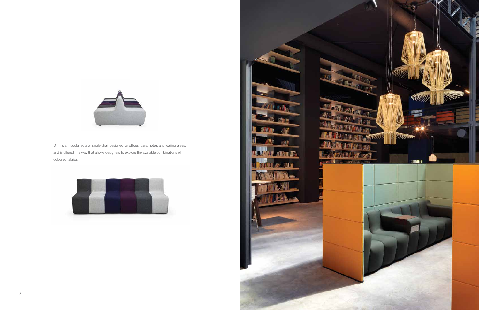

Dilim is a modular sofa or single chair designed for offices, bars, hotels and waiting areas, and is offered in a way that allows designers to explore the available combinations of coloured fabrics.



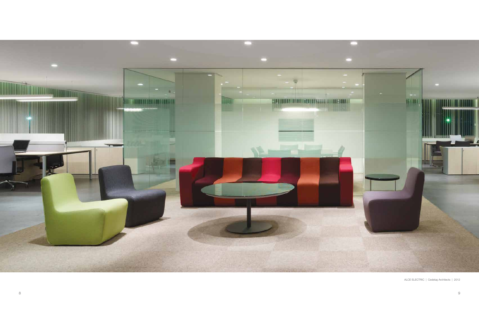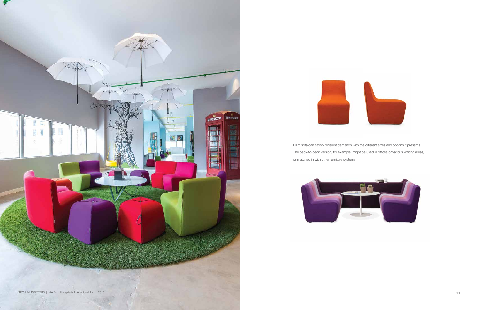Dilim sofa can satisfy different demands with the different sizes and options it presents. The back-to-back version, for example, might be used in offices or various waiting areas, or matched in with other furniture systems.







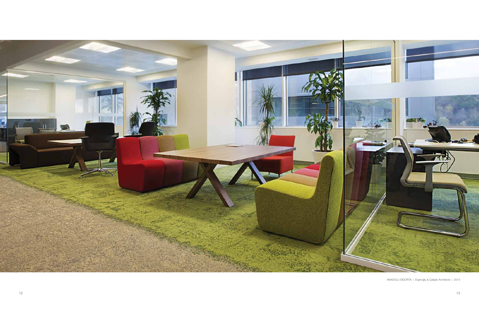

ANADOLU SİGORTA | Erginoğlu & Çalışlar Architects | 2013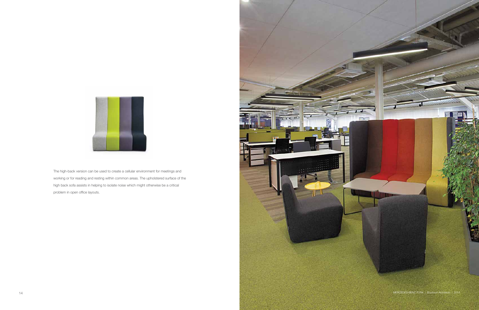MERCEDES-BENZ TURK | Boytorun Architects | 2015



The high-back version can be used to create a cellular environment for meetings and working or for reading and resting within common areas. The upholstered surface of the high back sofa assists in helping to isolate noise which might otherwise be a critical problem in open office layouts.



■画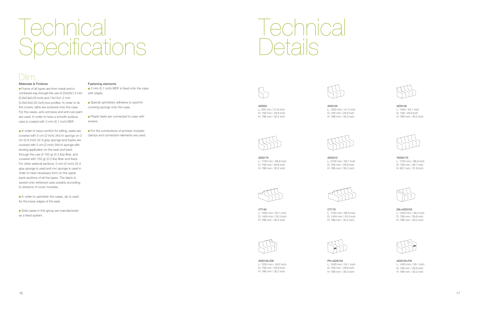

ADS55 L: 550 mm / 21.6 inch D: 758 mm / 29.8 inch H: 766 mm / 30.2 inch



ADS175 L: 1750 mm / 68.9 inch D: 758 mm / 29.8 inch H: 766 mm / 30.2 inch



CT140 L: 1400 mm / 55.1 inch D: 1404 mm / 55.3 inch H: 766 mm / 30.2 inch



ADS105+DK L: 1250 mm / 49.2 inch D: 758 mm / 29.8 inch H: 766 mm / 30.2 inch





ADS105 L: 1050 mm / 41.3 inch D: 758 mm / 29.8 inch H: 766 mm / 30.2 inch



ADS210 L: 2100 mm / 82.7 inch D: 758 mm / 29.8 inch H: 766 mm / 30.2 inch

## **Technical** Specifications



CT175 L: 1750 mm / 68.9 inch D: 1404 mm / 55.3 inch H: 766 mm / 30.2 inch



PK+ADS105 L: 1400 mm / 55.1 inch D: 758 mm / 29.8 inch H: 766 mm / 30.2 inch

ADS140 L: 1400 / 55.1 inch D: 758 / 29.8 inch H: 766 mm / 30.2 inch

YADS175 L: 1750 mm / 68.9 inch D: 728 mm / 28.7 inch H: 807 mm / 31.8 inch

DK+ADS105 L: 1250 mm / 49.2 inch D: 758 mm / 29.8 inch H: 766 mm / 30.2 inch

ADS105+PK L: 1400 mm / 55.1 inch D: 758 mm / 29.8 inch H: 766 mm / 30.2 inch



#### Materials & Finishes

● 3 mm (0.1 inch) MDF is fixed onto the case with staple.

● Special upholstery adhesive is used for covering sponge onto the case.

 Frame of all types are from metal and in combined way through the use of 20x20x1.2 mm (0.8x0.8x0.05 inch) and 15x15x1.2 mm (0.6x0.6x0.05 inch) box profiles. In order to fix the covers, laths are screwed onto the case. For the cases, anti-corrosive and anti-rust paint are used. In order to have a smooth surface, case is coated with 3 mm (0.1 inch) MDF.

> **•** For the connections of armrest modules clamps and connection elements are used.

Technical Details

 In order to have comfort for sitting, seats are covered with 5 cm (2 inch) 34d hr sponge on 2 cm (0.8 inch) 22 d gray sponge and backs are covered with 5 cm (2 inch) 34d hr sponge with bowing application on the seat and back through the use of 150 gr (0.3 lbs) fiber, and covered with 150 gr (0.3 lbs) fiber and fixed. For other external sections, 5 mm (2 inch) 32 d gray sponge is used and cnc sponge is used in order to have necessary form on the upper back sections of all the types. The fabric is sewed onto whitened case suitably according to divisions of cover modules.

 In order to upholster the cases, zip is used for the lower edges of the seat.

 Sofa cases in this group are manufactured as a fixed system.

#### Fastening elements

 Plastic feets are connected to case with screws.







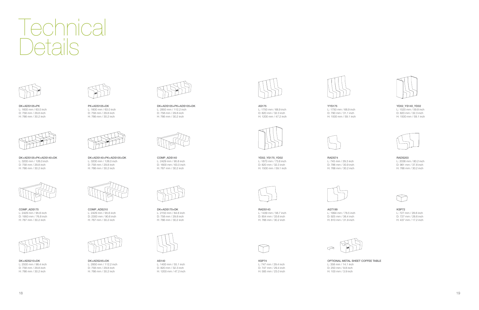## nnica Details



DK+ADS105+PK L: 1600 mm / 63.0 inch D: 758 mm / 29.8 inch H: 766 mm / 30.2 inch



PK+ADS105+DK L: 1600 mm / 63.0 inch D: 758 mm / 29.8 inch H: 766 mm / 30.2 inch



DK+ADS105+PK+ADS105+DK L: 2850 mm / 112.2 inch D: 758 mm / 29.8 inch H: 766 mm / 30.2 inch

KSP74 L: 747 mm / 29.4 inch D: 747 mm / 29.4 inch H: 585 mm / 23.0 inch

#### KSP72 L: 727 mm / 28.6 inch D: 727 mm / 28.6 inch H: 437 mm / 17.2 inch





COMP\_ADS140 L: 2429 mm / 95.6 inch D: 1600 mm / 63.0 inch H: 767 mm / 30.2 inch



COMP\_ADS175 L: 2429 mm / 95.6 inch D: 1950 mm / 76.8 inch H: 767 mm / 30.2 inch



COMP\_ADS210 L: 2429 mm / 95.6 inch D: 2300 mm / 90.6 inch H: 767 mm / 30.2 inch



DK+ADS175+DK L: 2150 mm / 84.6 inch D: 758 mm / 29.8 inch H: 766 mm / 30.2 inch



DK+ADS210+DK L: 2500 mm / 98.4 inch D: 758 mm / 29.8 inch H: 766 mm / 30.2 inch



DK+ADS245+DK L: 2850 mm / 112.2 inch D: 758 mm / 29.8 inch H: 766 mm / 30.2 inch



AS140 L: 1400 mm / 55.1 inch D: 820 mm / 32.3 inch H: 1200 mm / 47.2 inch



YYS175 L: 1750 mm / 68.9 inch D: 790 mm / 31.1 inch H: 1500 mm / 59.1 inch



AS175 L: 1750 mm / 68.9 inch D: 820 mm / 32.3 inch H: 1200 mm / 47.2 inch

#### YD02\_YS140\_YD02

L: 1520 mm / 59.8 inch D: 820 mm / 32.3 inch H: 1500 mm / 59.1 inch



YD02\_YS175\_YD02 L: 1870 mm / 73.6 inch D: 820 mm / 32.3 inch H: 1500 mm / 59.1 inch



RADS74 L: 745 mm / 29.3 inch D: 786 mm / 30.9 inch H: 766 mm / 30.2 inch



RADS143 L: 1439 mm / 56.7 inch D: 854 mm / 33.6 inch H: 766 mm / 30.2 inch

#### RADS203

L: 2036 mm / 80.2 inch D: 961 mm / 37.8 inch H: 766 mm / 30.2 inch





AGT199 L: 1994 mm / 78.5 inch D: 925 mm / 36.4 inch H: 810 mm / 31.9 inch

| æ |
|---|
|   |

#### OPTIONAL METAL SHEET COFFEE TABLE

L: 358 mm / 14.1 inch D: 250 mm / 9.8 inch H: 100 mm / 3.9 inch



DK+ADS105+PK+ADS140+DK L: 3200 mm / 126.0 inch D: 758 mm / 29.8 inch H: 766 mm / 30.2 inch



DK+ADS140+PK+ADS105+DK L: 3200 mm / 126.0 inch D: 758 mm / 29.8 inch H: 766 mm / 30.2 inch





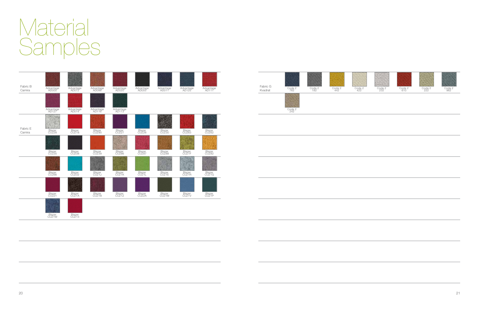## Materia Samples





20 and the contract of the contract of the contract of the contract of the contract of the contract of the contract of the contract of the contract of the contract of the contract of the contract of the contract of the con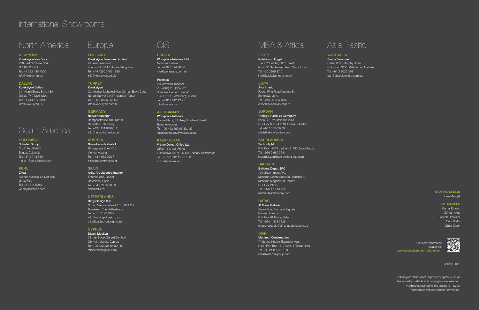#### NEW YORK

Koleksiyon New York 228 East 58<sup>th</sup> New York, NY 10022 USA Tel: +1 212 486 7500 info@koleksiyon.us

#### DALLAS

Koleksiyon Dallas 211 North Ervay, Suite 130 Dallas, TX 75201 USA Tel: +1 214 577 6070 info@koleksiyon.us

### International Showrooms

### North America

#### COLOMBIA

Schaller Group Cra 11 No: 93A-20 Bogota, Colombia Tel: +57 1 743 560 mariam@schallertech.com

#### PERU

Ziyaz Avenue Mariscal La Mar 835 Lima, Peru Tel: +51 714 9914 webziyaz@ziyaz.com

## South America

#### EGYPT

**Technolight** P.O. Box 12679 Jeddah 21483 Saudi Arabia Tel: +966 2 669 3241 hazemalazem@technolight-ksa.com

#### **BAHRAIN**

Koleksiyon Egypt The 47<sup>th</sup> Building, 90<sup>th</sup> Street North 5<sup>th</sup> Settlement, New Cairo, Egypt Tel: +20 2266 87 01 info@koleksiyonegypt.com

#### LIBYA

Avcı Interior Fourth Ring Road Venezia St, Benghazi, Libya Tel: +218 92 396 4653 cihad@avciorman.com.tr

#### **JORDAN**

Triology Furniture Company Iritiria Str. Um Uthienah Vista P.O. Box 630 - 11118 Amman, Jordan Tel: +962 6 5563778 salah@trilogyfurniture.com

#### SAUDI ARABIA

Builders Depot SPC 104 Government Ave. Manama Centre Suite 303 Building 4 Manama Kingdom of Bahrain P.O. Box 21679 Tel: +973 17 213803 malanni@archincorp.com

#### QATAR

Al Mana Galleria Salwa Road Ramada Signals Nissan Showroom P.O. Box 91 Doha, Qatar Tel: +974 4 428 3636 cihan.koseoglu@almanagalleria.com.qa

#### **IRAN**

Mammut Construction 7<sup>th</sup> Street, Khaled Estamboli Ave, No:7, P.O. Box 1513737511 Tehran, Iran Tel: +98 21 88 109 109 info@mammutgroup.com

RUSSIA Workplace Interiors Ltd. Moscow, Russia Tel: +7 926 124 48 48

Info@workplace.com.ru

#### Planmax

Piskarevskij Prospect, 2 Building 2, Office 221 Business Center "Benois" 195027, St. Petersburg, Russia Tel: +7 812 612 12 95 info@planmax.ru

> For more information please visit www.koleksiyoninternational.cor

#### AZERBAIJAN

Workplace Interiors Marine Plaza, 62 Uzeyir Hajibeyli Street Baku, Azerbaijan Tel: +99 412 599 05 82 / 83 ilham.behbudov@workplace.az

### MEA & Africa CIS Asia Pasific

#### KAZAKHSTAN

V-time Object Office Ltd. Office 111, b/c 'Prime' Furmanova 100 'g' 050000, Almaty, Kazakhstan Tel: +7 727 312 11 22 / 23 v-time@yandex.ru

#### AUSTRALIA

Envoy Furniture Suite 30391 Murphy Street Richmond 3121 Melbourne, Australia Tel: +61 3 9029 3161 dan@envoyfurniture.com.au

ENGLAND Koleksiyon Furniture Limited 9 Brewhouse Yard London EC1V 4JR United Kingdom Tel: +44 (0)20 3405 1885 info@koleksiyon.co.uk

#### **TURKEY**

Koleksiyon Cumhuriyet Mahallesi Hacı Osman Bayırı Cad. No: 25 Sarıyer 34457 Istanbul, Turkey Tel: +90 212 363 63 63 info@koleksiyon.com.tr

#### GERMANY

Network2Design Röntgenstrasse 104, 64291 Darmstadt, Germany Tel: +49 6151 9189512 info@network2design.de

#### AUSTRIA

Buerofreunde GmbH Börsegasse 9, A-1010 Vienna, Austria Tel: +43 1 532 028 7 office@buerofreunde.at

#### **SPAIN**

Artis, Arquitectura Interior Entença 242, 08029 Barcelona, Spain Tel: +34 973 25 78 00 artis@artis.es

#### NETHERLANDS

DingsDesign B.V. G. van Nijenrodestraat 151 3621 GJ Breukelen, The Netherlands Tel: +31 63195 1872 info@loading-ddesign.com thijs@loading-ddesign.com

#### **CYPRUS**

Divani Mobilya 2 Irmak Sokak Gönyeli Çemberi, Gönyeli, Nicosia, Cyprus Tel: +90 392 224 04 50 - 51 fetanetcan@gmail.com

## Europe

#### GRAPHIC DESIGN İrem Mangıtlı

PHOTOGRAPHS

Cemal Emden Gürkan Akay Joseph Brewster Onur Kolkır Ömer Çiçek



January 2016

Koleksiyon© All intellectual property rights, such as trade marks, patents and copyrights are reserved. Nothing contained in this brochure may be reproduced without written permission.